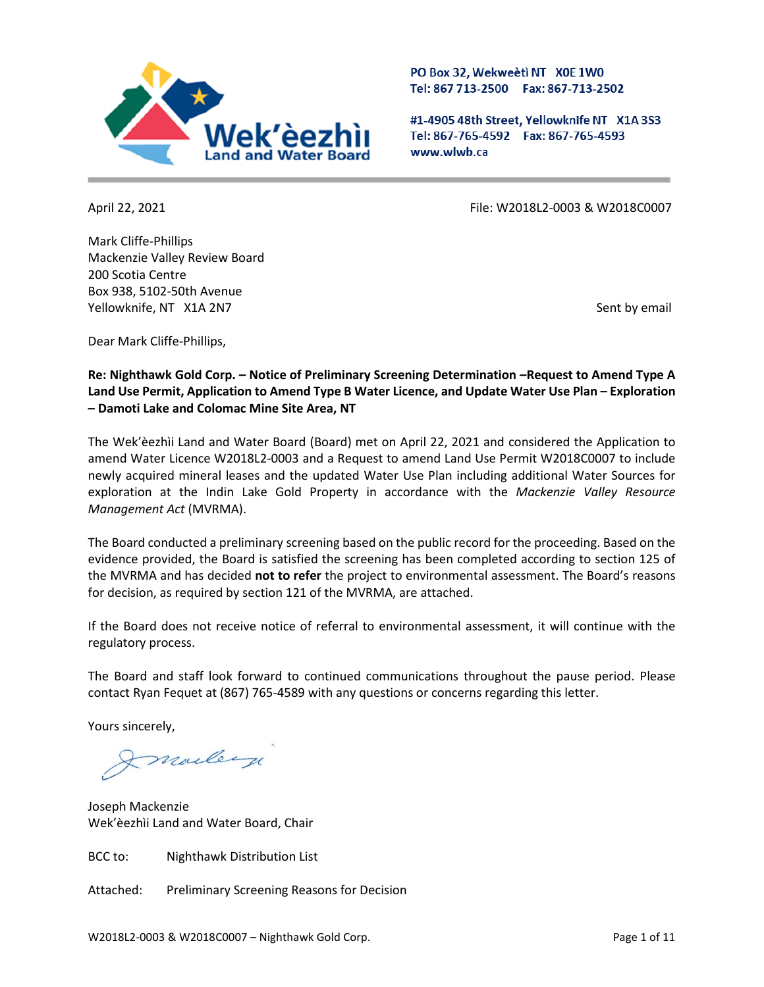

PO Box 32, Wekweeti NT X0E 1W0 Tel: 867 713-2500 Fax: 867-713-2502

#1-4905 48th Street, Yellowknife NT X1A 3S3 Tel: 867-765-4592 Fax: 867-765-4593 www.wlwb.ca

Mark Cliffe-Phillips Mackenzie Valley Review Board 200 Scotia Centre Box 938, 5102-50th Avenue Yellowknife, NT X1A 2N7 Sent by email and the sent by email sent by email sent by email

April 22, 2021 File: W2018L2-0003 & W2018C0007

Dear Mark Cliffe-Phillips,

**Re: Nighthawk Gold Corp. – Notice of Preliminary Screening Determination –Request to Amend Type A Land Use Permit, Application to Amend Type B Water Licence, and Update Water Use Plan – Exploration – Damoti Lake and Colomac Mine Site Area, NT**

The Wek'èezhìi Land and Water Board (Board) met on April 22, 2021 and considered the Application to amend Water Licence W2018L2-0003 and a Request to amend Land Use Permit W2018C0007 to include newly acquired mineral leases and the updated Water Use Plan including additional Water Sources for exploration at the Indin Lake Gold Property in accordance with the *Mackenzie Valley Resource Management Act* (MVRMA).

The Board conducted a preliminary screening based on the public record for the proceeding. Based on the evidence provided, the Board is satisfied the screening has been completed according to section 125 of the MVRMA and has decided **not to refer** the project to environmental assessment. The Board's reasons for decision, as required by section 121 of the MVRMA, are attached.

If the Board does not receive notice of referral to environmental assessment, it will continue with the regulatory process.

The Board and staff look forward to continued communications throughout the pause period. Please contact Ryan Fequet at (867) 765-4589 with any questions or concerns regarding this letter.

Yours sincerely,

Imallerge

Joseph Mackenzie Wek'èezhìi Land and Water Board, Chair

BCC to: Nighthawk Distribution List

Attached: Preliminary Screening Reasons for Decision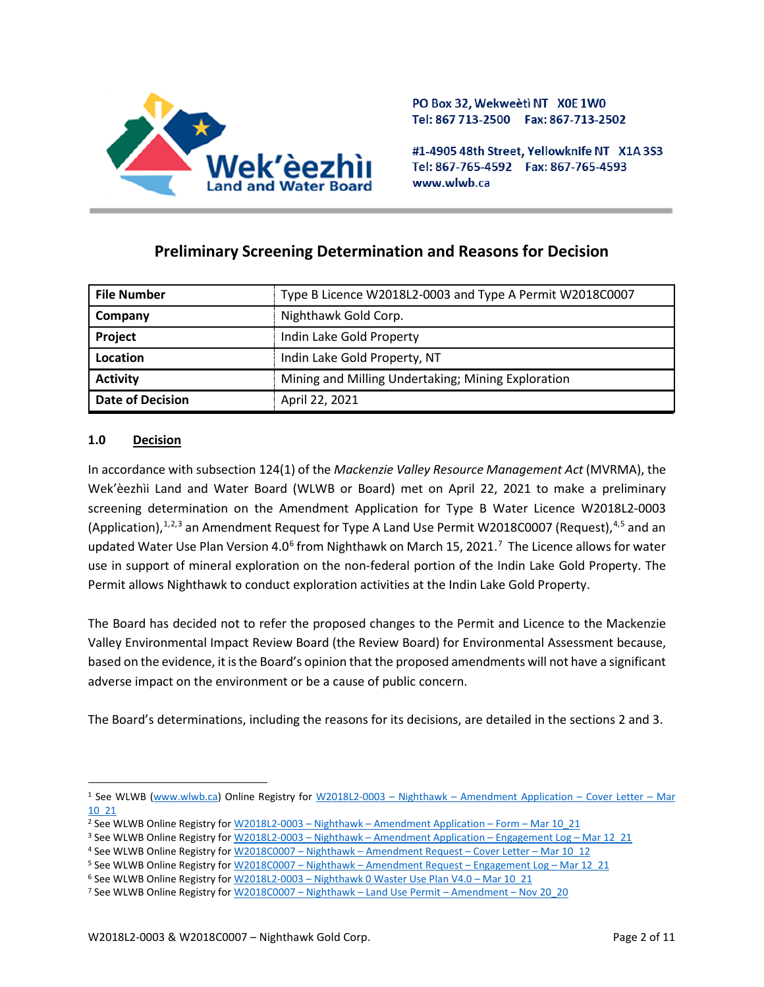

PO Box 32, Wekweeti NT X0E 1W0 Tel: 867 713-2500 Fax: 867-713-2502

#1-4905 48th Street, Yellowknife NT X1A 3S3 Tel: 867-765-4592 Fax: 867-765-4593 www.wlwb.ca

# **Preliminary Screening Determination and Reasons for Decision**

| <b>File Number</b>      | Type B Licence W2018L2-0003 and Type A Permit W2018C0007 |
|-------------------------|----------------------------------------------------------|
| Company                 | Nighthawk Gold Corp.                                     |
| Project                 | Indin Lake Gold Property                                 |
| Location                | Indin Lake Gold Property, NT                             |
| <b>Activity</b>         | Mining and Milling Undertaking; Mining Exploration       |
| <b>Date of Decision</b> | April 22, 2021                                           |

# **1.0 Decision**

In accordance with subsection 124(1) of the *Mackenzie Valley Resource Management Act* (MVRMA), the Wek'èezhìi Land and Water Board (WLWB or Board) met on April 22, 2021 to make a preliminary screening determination on the Amendment Application for Type B Water Licence W2018L2-0003 (Application),<sup>[1,](#page-1-0)[2](#page-1-1),[3](#page-1-2)</sup> an Amendment Request for Type A Land Use Permit W2018C0007 (Request),<sup>[4](#page-1-3),[5](#page-1-4)</sup> and an updated Water Use Plan Version 4.0<sup>[6](#page-1-5)</sup> from Nighthawk on March 15, 2021.<sup>[7](#page-1-6)</sup> The Licence allows for water use in support of mineral exploration on the non-federal portion of the Indin Lake Gold Property. The Permit allows Nighthawk to conduct exploration activities at the Indin Lake Gold Property.

The Board has decided not to refer the proposed changes to the Permit and Licence to the Mackenzie Valley Environmental Impact Review Board (the Review Board) for Environmental Assessment because, based on the evidence, it is the Board's opinion that the proposed amendments will not have a significant adverse impact on the environment or be a cause of public concern.

The Board's determinations, including the reasons for its decisions, are detailed in the sections 2 and 3.

<span id="page-1-0"></span><sup>1</sup> See WLWB [\(www.wlwb.ca\)](http://www.wlwb.ca/) Online Registry for W2018L2-0003 – Nighthawk – [Amendment Application –](http://registry.mvlwb.ca/Documents/W2018L2-0003/W2018L2-0003%20-%20Nighthawk%20-%20Amendment%20Application%20-%20Cover%20Letter%20-%20Mar%2010_20.pdf) Cover Letter – Mar [10\\_21](http://registry.mvlwb.ca/Documents/W2018L2-0003/W2018L2-0003%20-%20Nighthawk%20-%20Amendment%20Application%20-%20Cover%20Letter%20-%20Mar%2010_20.pdf)

<span id="page-1-1"></span><sup>&</sup>lt;sup>2</sup> See WLWB Online Registry for <u>W2018L2-0003 – Nighthawk – [Amendment Application –](http://registry.mvlwb.ca/Documents/W2018L2-0003/W2018L2-0003%20-%20Nighthawk%20-%20Amendment%20Application%20-%20Form%20-%20Mar%2010_21.pdf) Form – Mar 10\_21</u>

<span id="page-1-2"></span><sup>3</sup> See WLWB Online Registry for W2018L2-0003 – Nighthawk – [Amendment Application –](http://registry.mvlwb.ca/Documents/W2018L2-0003/W2018L2-0003%20-%20Nighthawk%20-%20Amendment%20Application%20-%20Engagement%20Log%20-%20Mar%2012_21.pdf) Engagement Log – Mar 12\_21

<span id="page-1-3"></span><sup>4</sup> See WLWB Online Registry for W2018C0007 – Nighthawk – [Amendment Request –](http://registry.mvlwb.ca/Documents/W2018C0007/W2018C0007%20-%20Nighthawk%20-%20Amendment%20Request%20-%20Cover%20Letter%20-%20Mar%2010_20.pdf) Cover Letter – Mar 10\_12

<span id="page-1-4"></span><sup>5</sup> See WLWB Online Registry for W2018C0007 – Nighthawk – [Amendment Request –](http://registry.mvlwb.ca/Documents/W2018C0007/W2018C0007%20-%20Nighthawk%20-%20Amendment%20Request%20-%20Engagement%20Log%20-%20Mar%2012_21.pdf) Engagement Log – Mar 12\_21

<sup>6</sup> See WLWB Online Registry for W2018L2-0003 – [Nighthawk 0 Waster Use Plan V4.0 –](http://registry.mvlwb.ca/Documents/W2018L2-0003/W2018L2-0003%20-%20Nighthawk%20-%20Water%20Use%20Plan%20V4.0%20-%20Mar%2010_21.pdf) Mar 10\_21

<span id="page-1-6"></span><span id="page-1-5"></span><sup>7</sup> See WLWB Online Registry for W2018C0007 – Nighthawk – [Land Use Permit –](http://registry.mvlwb.ca/Documents/W2018C0007/W2018C0007%20-%20Nighthawk%20-%20Land%20Use%20Permit%20-%20Amendment%20-%20Nov%2030_20.pdf) Amendment – Nov 20\_20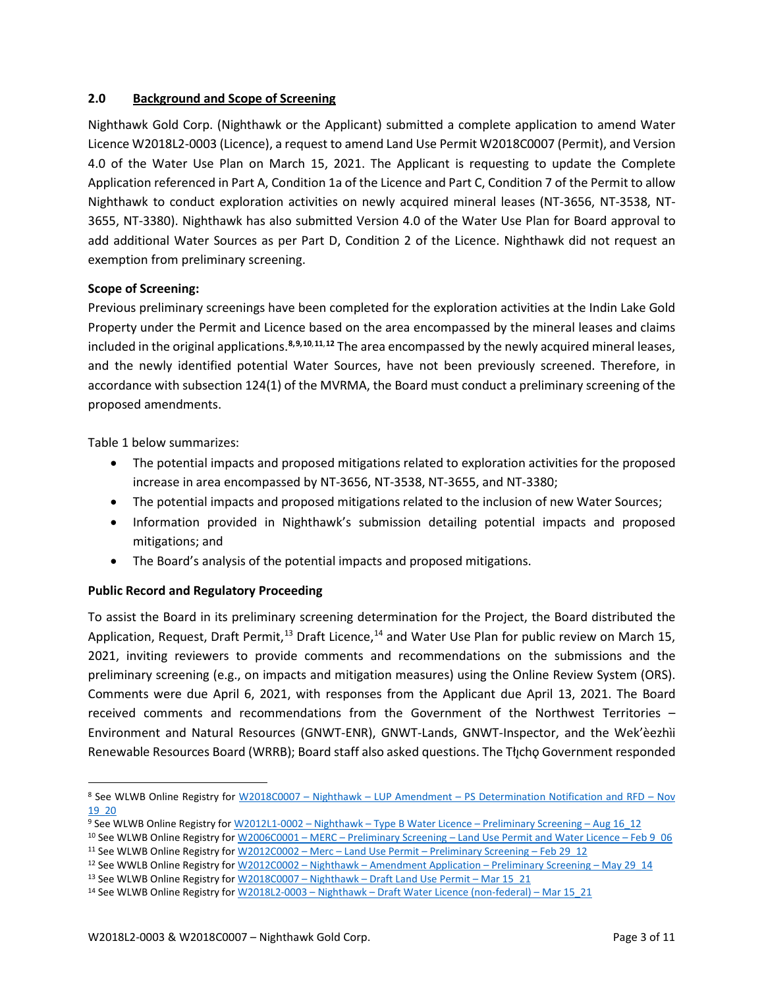## **2.0 Background and Scope of Screening**

Nighthawk Gold Corp. (Nighthawk or the Applicant) submitted a complete application to amend Water Licence W2018L2-0003 (Licence), a request to amend Land Use Permit W2018C0007 (Permit), and Version 4.0 of the Water Use Plan on March 15, 2021. The Applicant is requesting to update the Complete Application referenced in Part A, Condition 1a of the Licence and Part C, Condition 7 of the Permit to allow Nighthawk to conduct exploration activities on newly acquired mineral leases (NT-3656, NT-3538, NT-3655, NT-3380). Nighthawk has also submitted Version 4.0 of the Water Use Plan for Board approval to add additional Water Sources as per Part D, Condition 2 of the Licence. Nighthawk did not request an exemption from preliminary screening.

## **Scope of Screening:**

Previous preliminary screenings have been completed for the exploration activities at the Indin Lake Gold Property under the Permit and Licence based on the area encompassed by the mineral leases and claims included in the original applications. **[8,](#page-2-0)[9,](#page-2-1)[10](#page-2-2)**,**[11](#page-2-3)**,**[12](#page-2-4)** The area encompassed by the newly acquired mineral leases, and the newly identified potential Water Sources, have not been previously screened. Therefore, in accordance with subsection 124(1) of the MVRMA, the Board must conduct a preliminary screening of the proposed amendments.

Table 1 below summarizes:

- The potential impacts and proposed mitigations related to exploration activities for the proposed increase in area encompassed by NT-3656, NT-3538, NT-3655, and NT-3380;
- The potential impacts and proposed mitigations related to the inclusion of new Water Sources;
- Information provided in Nighthawk's submission detailing potential impacts and proposed mitigations; and
- The Board's analysis of the potential impacts and proposed mitigations.

# **Public Record and Regulatory Proceeding**

To assist the Board in its preliminary screening determination for the Project, the Board distributed the Application, Request, Draft Permit,<sup>[13](#page-2-5)</sup> Draft Licence,<sup>[14](#page-2-6)</sup> and Water Use Plan for public review on March 15, 2021, inviting reviewers to provide comments and recommendations on the submissions and the preliminary screening (e.g., on impacts and mitigation measures) using the Online Review System (ORS). Comments were due April 6, 2021, with responses from the Applicant due April 13, 2021. The Board received comments and recommendations from the Government of the Northwest Territories – Environment and Natural Resources (GNWT-ENR), GNWT-Lands, GNWT-Inspector, and the Wek'èezhìi Renewable Resources Board (WRRB); Board staff also asked questions. The Tłycho Government responded

<span id="page-2-0"></span><sup>8</sup> See WLWB Online Registry for W2018C0007 – Nighthawk – LUP Amendment – [PS Determination Notification and RFD –](http://registry.mvlwb.ca/Documents/W2018C0007/W2018C0007%20-%20Nighthawk%20-%20LUP%20Amendment%20-%20PS%20Determiniation%20Notification%20and%20RFD%20-%20Nov%2019_20.pdf) Nov [19\\_20](http://registry.mvlwb.ca/Documents/W2018C0007/W2018C0007%20-%20Nighthawk%20-%20LUP%20Amendment%20-%20PS%20Determiniation%20Notification%20and%20RFD%20-%20Nov%2019_20.pdf)

<span id="page-2-1"></span><sup>9</sup> See WLWB Online Registry for W2012L1-0002 – Nighthawk – Type B Water Licence – [Preliminary Screening –](http://registry.mvlwb.ca/Documents/W2012L1-0002/W2012L1-0002%20-%20Nighthawk%20-%20Type%20B%20Water%20Licence%20-%20Preliminary%20Screening%20-%20Aug%2016_12.pdf) Aug 16\_12 10 See WLWB Online Registry for W2006C0001 – MERC – Preliminary Screening – [Land Use Permit and Water Licence –](http://registry.mvlwb.ca/Documents/W2006C0001/W2006C0001%20-%20W2006L2-0001%20-%20MERC%20-%20Preliminary%20Screening%20-%20Land%20Use%20Permit%20and%20Water%20Licence%20-%20Feb%209_06.pdf) Feb 9\_06

<span id="page-2-3"></span><span id="page-2-2"></span><sup>11</sup> See WLWB Online Registry for W2012C0002 – Merc – Land Use Permit – [Preliminary Screening –](http://registry.mvlwb.ca/Documents/W2012C0002/W2012C0002%20-%20Merc%20-%20Land%20Use%20Permit%20-%20Preliminary%20Screening%20-%20Feb%2029_12.pdf) Feb 29\_12

<span id="page-2-4"></span><sup>12</sup> See WWLB Online Registry for W2012C0002 – Nighthawk – [Amendment Application –](http://registry.mvlwb.ca/Documents/W2012C0002/W2012C0002%20-%20Nighthawk%20-%20Amendment%20Application%20-%20Preliminary%20Screening%20-%20May%2029_14.pdf) Preliminary Screening – May 29\_14

<sup>13</sup> See WLWB Online Registry for W2018C0007 - Nighthawk - Draft Land Use Permit - Mar 15 21

<span id="page-2-6"></span><span id="page-2-5"></span><sup>14</sup> See WLWB Online Registry for W2018L2-0003 – Nighthawk – [Draft Water Licence \(non-federal\) –](http://registry.mvlwb.ca/Documents/W2018L2-0003/W2018L2-0003%20-%20Nighthawk%20-%20Draft%20Water%20Licence%20(non-federal)%20-%20Mar%2015_21.pdf) Mar 15\_21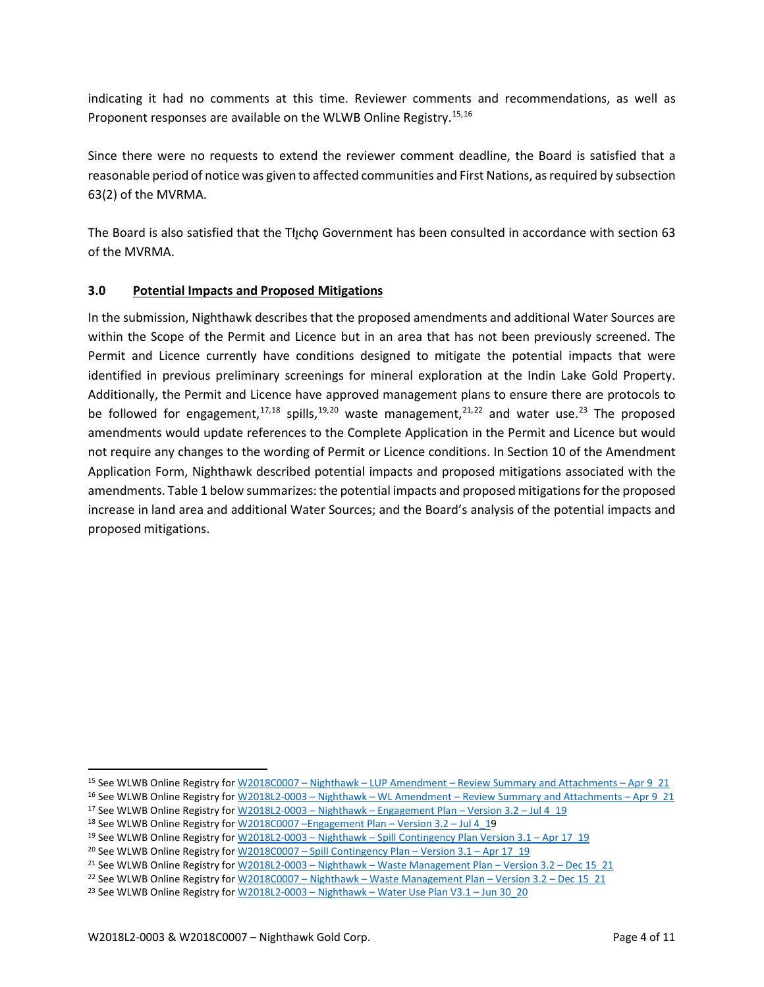indicating it had no comments at this time. Reviewer comments and recommendations, as well as Proponent responses are available on the WLWB Online Registry.<sup>[15](#page-3-0),[16](#page-3-1)</sup>

Since there were no requests to extend the reviewer comment deadline, the Board is satisfied that a reasonable period of notice was given to affected communities and First Nations, as required by subsection 63(2) of the MVRMA.

The Board is also satisfied that the Tłįchǫ Government has been consulted in accordance with section 63 of the MVRMA.

# **3.0 Potential Impacts and Proposed Mitigations**

In the submission, Nighthawk describes that the proposed amendments and additional Water Sources are within the Scope of the Permit and Licence but in an area that has not been previously screened. The Permit and Licence currently have conditions designed to mitigate the potential impacts that were identified in previous preliminary screenings for mineral exploration at the Indin Lake Gold Property. Additionally, the Permit and Licence have approved management plans to ensure there are protocols to be followed for engagement,<sup>[17,](#page-3-2)[18](#page-3-3)</sup> spills,<sup>[19](#page-3-4),[20](#page-3-5)</sup> waste management,<sup>[21,](#page-3-6)[22](#page-3-7)</sup> and water use.<sup>[23](#page-3-8)</sup> The proposed amendments would update references to the Complete Application in the Permit and Licence but would not require any changes to the wording of Permit or Licence conditions. In Section 10 of the Amendment Application Form, Nighthawk described potential impacts and proposed mitigations associated with the amendments. Table 1 below summarizes: the potential impacts and proposed mitigations for the proposed increase in land area and additional Water Sources; and the Board's analysis of the potential impacts and proposed mitigations.

- <span id="page-3-2"></span><sup>17</sup> See WLWB Online Registry for  $W2018L2-0003 - Nighthawk - Engagement Plan - Version 3.2 - Jul 4<sup>-19</sup>$
- <sup>18</sup> See WLWB Online Registry fo[r W2018C0007 –Engagement Plan –](http://registry.mvlwb.ca/Documents/W2018C0007/W2018C0007%20-%20Nighthawk%20-%20Engagement%20Plan%20-%20Version%203.2%20-%20Jul%204_19.pdf) Version 3.2 Jul 4\_19

<span id="page-3-1"></span><span id="page-3-0"></span><sup>15</sup> See WLWB Online Registry for W2018C0007 – Nighthawk – LUP Amendment – [Review Summary and Attachments –](http://registry.mvlwb.ca/Documents/W2018C0007/W2018C0007%20-%20Nighthawk%20-%20LUP%20Amendment%20-%20Review%20Summary%20and%20Attachments%20-%20Apr%209_21.pdf) Apr 9\_21 <sup>16</sup> See WLWB Online Registry for W2018L2-0003 – Nighthawk – WL Amendment – [Review Summary and Attachments –](http://registry.mvlwb.ca/Documents/W2018L2-0003/W2018L2-0003%20-%20Nighthawk%20-%20WL%20Amendment%20-%20Review%20Summary%20and%20Attachments%20-%20Apr%209_21.pdf) Apr 9\_21

<span id="page-3-5"></span><span id="page-3-4"></span><span id="page-3-3"></span><sup>19</sup> See WLWB Online Registry for W2018L2-0003 – Nighthawk – [Spill Contingency Plan Version 3.1 –](http://registry.mvlwb.ca/Documents/W2018L2-0003/W2018L2-0003%20-%20Nighthawk%20-%20Spill%20Contingency%20Plan%20-%20Version%203.1%20-%20Apr%2017_19.pdf) Apr 17\_19

<sup>&</sup>lt;sup>20</sup> See WLWB Online Registry for W2018C0007 – [Spill Contingency Plan –](http://registry.mvlwb.ca/Documents/W2018C0007/W2018C0007%20-%20Nighthawk%20-%20Spill%20Contingency%20Plan%20-%20Version%203.1%20-%20Apr%2017_19.pdf) Version 3.1 – Apr 17\_19

<span id="page-3-7"></span><span id="page-3-6"></span><sup>&</sup>lt;sup>21</sup> See WLWB Online Registry for W2018L2-0003 – Nighthawk – [Waste Management Plan –](http://registry.mvlwb.ca/Documents/W2018L2-0003/W2018L2-0003%20-%20Nighthawk%20-%20Waste%20Management%20Plan%20-%20Version%203.2%20-%20Dec%2015_20.pdf) Version 3.2 – Dec 15 21

<sup>&</sup>lt;sup>22</sup> See WLWB Online Registry for W2018C0007 - Nighthawk - Waste Management Plan - Version 3.2 - Dec 15 21

<span id="page-3-8"></span><sup>&</sup>lt;sup>23</sup> See WLWB Online Registry for W2018L2-0003 - Nighthawk - Water Use Plan V3.1 - Jun 30  $20$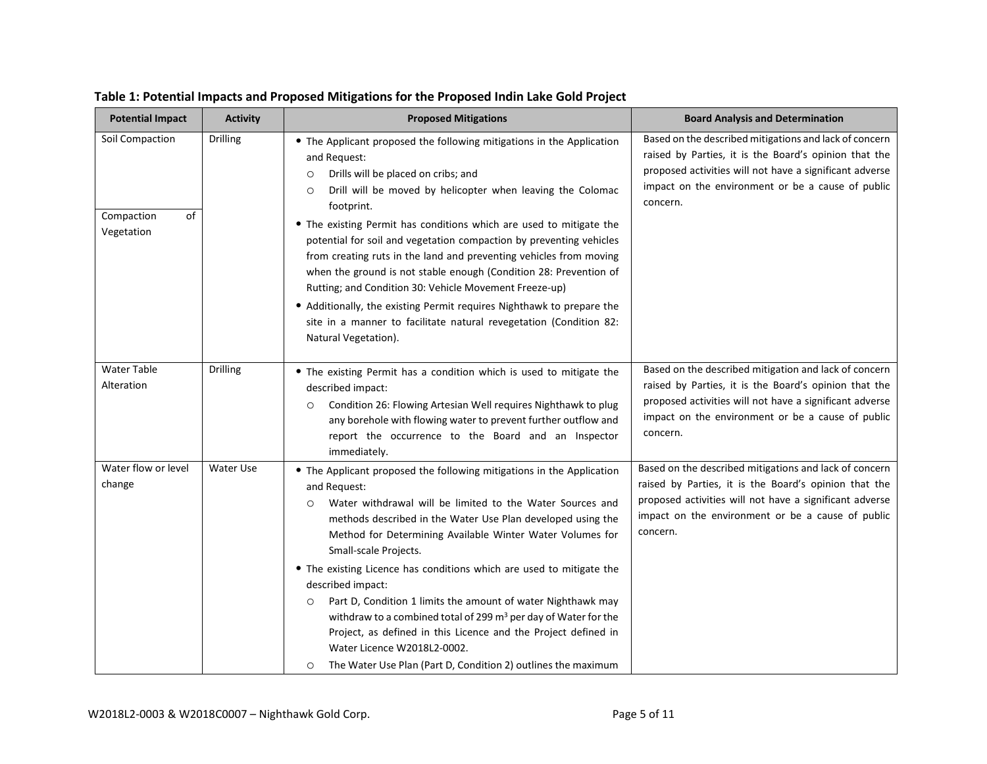| <b>Potential Impact</b>                           | <b>Activity</b>  | <b>Proposed Mitigations</b>                                                                                                                                                                                                                                                                                                                                                                                                                                                                                                                                                                                                                                                                                                                              | <b>Board Analysis and Determination</b>                                                                                                                                                                                                     |
|---------------------------------------------------|------------------|----------------------------------------------------------------------------------------------------------------------------------------------------------------------------------------------------------------------------------------------------------------------------------------------------------------------------------------------------------------------------------------------------------------------------------------------------------------------------------------------------------------------------------------------------------------------------------------------------------------------------------------------------------------------------------------------------------------------------------------------------------|---------------------------------------------------------------------------------------------------------------------------------------------------------------------------------------------------------------------------------------------|
| Soil Compaction<br>of<br>Compaction<br>Vegetation | <b>Drilling</b>  | • The Applicant proposed the following mitigations in the Application<br>and Request:<br>Drills will be placed on cribs; and<br>$\circ$<br>Drill will be moved by helicopter when leaving the Colomac<br>$\circ$<br>footprint.<br>• The existing Permit has conditions which are used to mitigate the<br>potential for soil and vegetation compaction by preventing vehicles<br>from creating ruts in the land and preventing vehicles from moving<br>when the ground is not stable enough (Condition 28: Prevention of<br>Rutting; and Condition 30: Vehicle Movement Freeze-up)<br>• Additionally, the existing Permit requires Nighthawk to prepare the<br>site in a manner to facilitate natural revegetation (Condition 82:<br>Natural Vegetation). | Based on the described mitigations and lack of concern<br>raised by Parties, it is the Board's opinion that the<br>proposed activities will not have a significant adverse<br>impact on the environment or be a cause of public<br>concern. |
| <b>Water Table</b><br>Alteration                  | <b>Drilling</b>  | • The existing Permit has a condition which is used to mitigate the<br>described impact:<br>Condition 26: Flowing Artesian Well requires Nighthawk to plug<br>$\circ$<br>any borehole with flowing water to prevent further outflow and<br>report the occurrence to the Board and an Inspector<br>immediately.                                                                                                                                                                                                                                                                                                                                                                                                                                           | Based on the described mitigation and lack of concern<br>raised by Parties, it is the Board's opinion that the<br>proposed activities will not have a significant adverse<br>impact on the environment or be a cause of public<br>concern.  |
| Water flow or level<br>change                     | <b>Water Use</b> | • The Applicant proposed the following mitigations in the Application<br>and Request:<br>Water withdrawal will be limited to the Water Sources and<br>$\circ$<br>methods described in the Water Use Plan developed using the<br>Method for Determining Available Winter Water Volumes for<br>Small-scale Projects.<br>• The existing Licence has conditions which are used to mitigate the<br>described impact:<br>Part D, Condition 1 limits the amount of water Nighthawk may<br>$\circ$<br>withdraw to a combined total of 299 m <sup>3</sup> per day of Water for the<br>Project, as defined in this Licence and the Project defined in<br>Water Licence W2018L2-0002.<br>The Water Use Plan (Part D, Condition 2) outlines the maximum<br>$\circ$   | Based on the described mitigations and lack of concern<br>raised by Parties, it is the Board's opinion that the<br>proposed activities will not have a significant adverse<br>impact on the environment or be a cause of public<br>concern. |

# **Table 1: Potential Impacts and Proposed Mitigations for the Proposed Indin Lake Gold Project**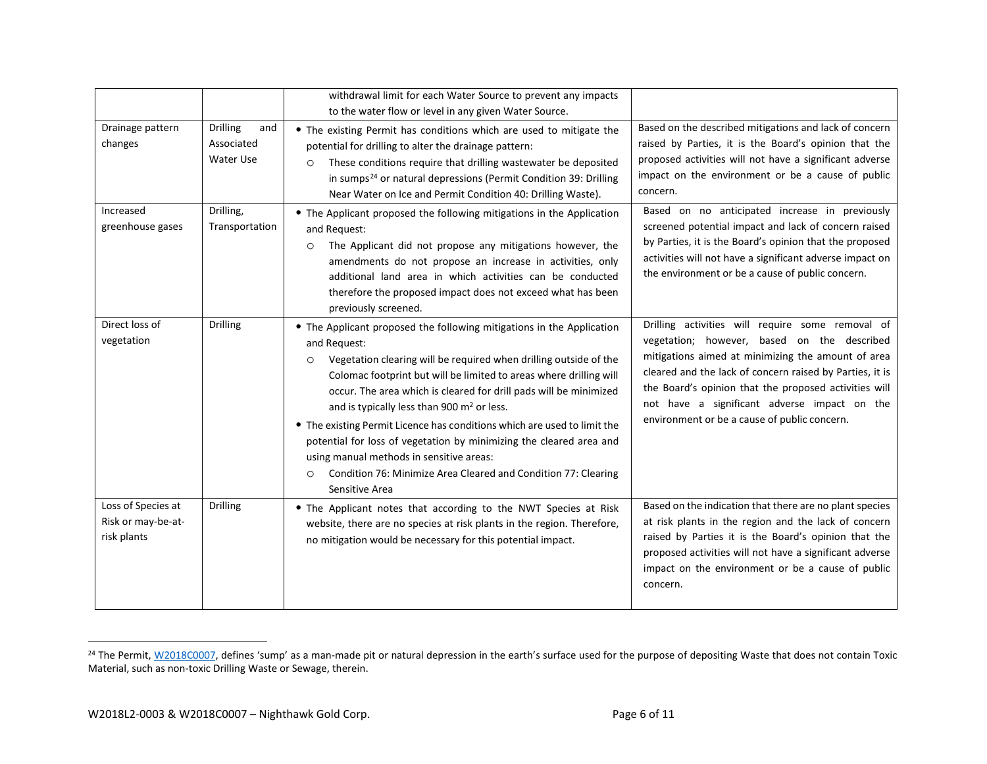<span id="page-5-0"></span>

|                                                         |                                                   | withdrawal limit for each Water Source to prevent any impacts<br>to the water flow or level in any given Water Source.                                                                                                                                                                                                                                                                                                                                                                                                                                                                                                                                                   |                                                                                                                                                                                                                                                                                                                                                                            |
|---------------------------------------------------------|---------------------------------------------------|--------------------------------------------------------------------------------------------------------------------------------------------------------------------------------------------------------------------------------------------------------------------------------------------------------------------------------------------------------------------------------------------------------------------------------------------------------------------------------------------------------------------------------------------------------------------------------------------------------------------------------------------------------------------------|----------------------------------------------------------------------------------------------------------------------------------------------------------------------------------------------------------------------------------------------------------------------------------------------------------------------------------------------------------------------------|
| Drainage pattern<br>changes                             | <b>Drilling</b><br>and<br>Associated<br>Water Use | • The existing Permit has conditions which are used to mitigate the<br>potential for drilling to alter the drainage pattern:<br>These conditions require that drilling wastewater be deposited<br>$\circ$<br>in sumps <sup>24</sup> or natural depressions (Permit Condition 39: Drilling<br>Near Water on Ice and Permit Condition 40: Drilling Waste).                                                                                                                                                                                                                                                                                                                 | Based on the described mitigations and lack of concern<br>raised by Parties, it is the Board's opinion that the<br>proposed activities will not have a significant adverse<br>impact on the environment or be a cause of public<br>concern.                                                                                                                                |
| Increased<br>greenhouse gases                           | Drilling,<br>Transportation                       | • The Applicant proposed the following mitigations in the Application<br>and Request:<br>The Applicant did not propose any mitigations however, the<br>$\circ$<br>amendments do not propose an increase in activities, only<br>additional land area in which activities can be conducted<br>therefore the proposed impact does not exceed what has been<br>previously screened.                                                                                                                                                                                                                                                                                          | Based on no anticipated increase in previously<br>screened potential impact and lack of concern raised<br>by Parties, it is the Board's opinion that the proposed<br>activities will not have a significant adverse impact on<br>the environment or be a cause of public concern.                                                                                          |
| Direct loss of<br>vegetation                            | Drilling                                          | • The Applicant proposed the following mitigations in the Application<br>and Request:<br>Vegetation clearing will be required when drilling outside of the<br>$\circ$<br>Colomac footprint but will be limited to areas where drilling will<br>occur. The area which is cleared for drill pads will be minimized<br>and is typically less than 900 m <sup>2</sup> or less.<br>• The existing Permit Licence has conditions which are used to limit the<br>potential for loss of vegetation by minimizing the cleared area and<br>using manual methods in sensitive areas:<br>Condition 76: Minimize Area Cleared and Condition 77: Clearing<br>$\circ$<br>Sensitive Area | Drilling activities will require some removal of<br>vegetation; however, based on the described<br>mitigations aimed at minimizing the amount of area<br>cleared and the lack of concern raised by Parties, it is<br>the Board's opinion that the proposed activities will<br>not have a significant adverse impact on the<br>environment or be a cause of public concern. |
| Loss of Species at<br>Risk or may-be-at-<br>risk plants | <b>Drilling</b>                                   | • The Applicant notes that according to the NWT Species at Risk<br>website, there are no species at risk plants in the region. Therefore,<br>no mitigation would be necessary for this potential impact.                                                                                                                                                                                                                                                                                                                                                                                                                                                                 | Based on the indication that there are no plant species<br>at risk plants in the region and the lack of concern<br>raised by Parties it is the Board's opinion that the<br>proposed activities will not have a significant adverse<br>impact on the environment or be a cause of public<br>concern.                                                                        |

<sup>&</sup>lt;sup>24</sup> The Permit[, W2018C0007,](http://registry.mvlwb.ca/Documents/W2018C0007/W2018C0007%20-%20Nighthawk%20-%20Land%20Use%20Permit%20-%20Amendment%20-%20Nov%2030_20.pdf) defines 'sump' as a man-made pit or natural depression in the earth's surface used for the purpose of depositing Waste that does not contain Toxic Material, such as non-toxic Drilling Waste or Sewage, therein.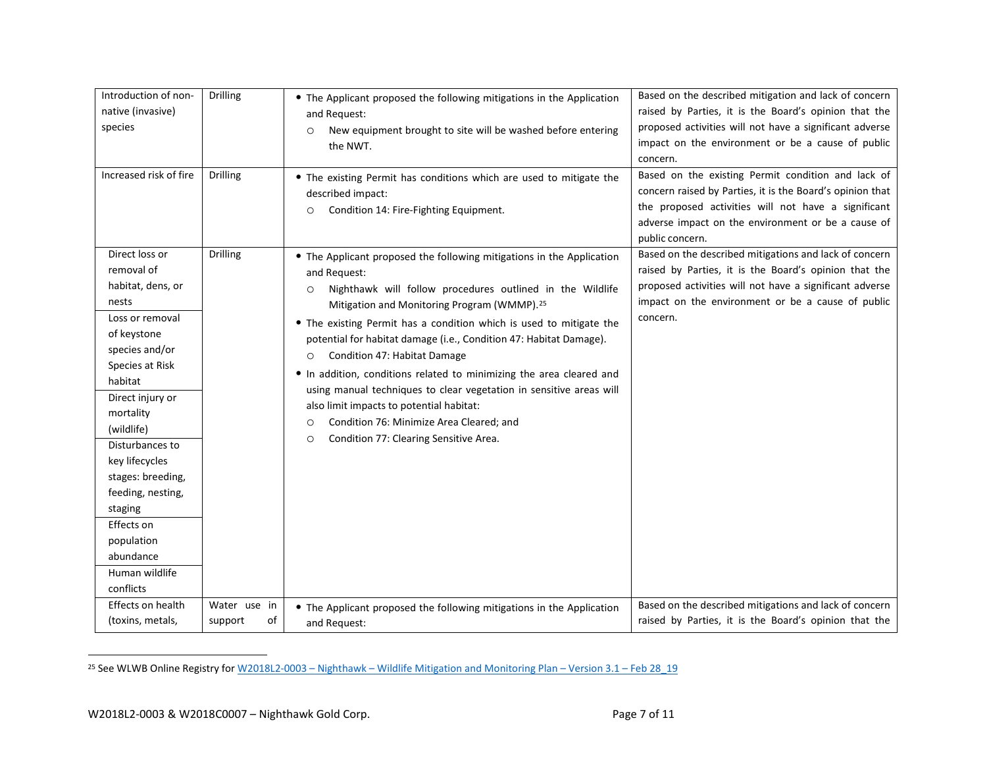<span id="page-6-0"></span>

| Introduction of non-<br>native (invasive)<br>species<br>Increased risk of fire                                                                                                                                                                                                                                                                                | Drilling<br>Drilling          | • The Applicant proposed the following mitigations in the Application<br>and Request:<br>New equipment brought to site will be washed before entering<br>$\circ$<br>the NWT.<br>• The existing Permit has conditions which are used to mitigate the<br>described impact:                                                                                                                                                                                                                                                                                                                                                                                                                                                | Based on the described mitigation and lack of concern<br>raised by Parties, it is the Board's opinion that the<br>proposed activities will not have a significant adverse<br>impact on the environment or be a cause of public<br>concern.<br>Based on the existing Permit condition and lack of<br>concern raised by Parties, it is the Board's opinion that |
|---------------------------------------------------------------------------------------------------------------------------------------------------------------------------------------------------------------------------------------------------------------------------------------------------------------------------------------------------------------|-------------------------------|-------------------------------------------------------------------------------------------------------------------------------------------------------------------------------------------------------------------------------------------------------------------------------------------------------------------------------------------------------------------------------------------------------------------------------------------------------------------------------------------------------------------------------------------------------------------------------------------------------------------------------------------------------------------------------------------------------------------------|---------------------------------------------------------------------------------------------------------------------------------------------------------------------------------------------------------------------------------------------------------------------------------------------------------------------------------------------------------------|
|                                                                                                                                                                                                                                                                                                                                                               |                               | Condition 14: Fire-Fighting Equipment.<br>$\circ$                                                                                                                                                                                                                                                                                                                                                                                                                                                                                                                                                                                                                                                                       | the proposed activities will not have a significant<br>adverse impact on the environment or be a cause of<br>public concern.                                                                                                                                                                                                                                  |
| Direct loss or<br>removal of<br>habitat, dens, or<br>nests<br>Loss or removal<br>of keystone<br>species and/or<br>Species at Risk<br>habitat<br>Direct injury or<br>mortality<br>(wildlife)<br>Disturbances to<br>key lifecycles<br>stages: breeding,<br>feeding, nesting,<br>staging<br>Effects on<br>population<br>abundance<br>Human wildlife<br>conflicts | <b>Drilling</b>               | • The Applicant proposed the following mitigations in the Application<br>and Request:<br>Nighthawk will follow procedures outlined in the Wildlife<br>$\circ$<br>Mitigation and Monitoring Program (WMMP). <sup>25</sup><br>• The existing Permit has a condition which is used to mitigate the<br>potential for habitat damage (i.e., Condition 47: Habitat Damage).<br>Condition 47: Habitat Damage<br>$\circ$<br>• In addition, conditions related to minimizing the area cleared and<br>using manual techniques to clear vegetation in sensitive areas will<br>also limit impacts to potential habitat:<br>Condition 76: Minimize Area Cleared; and<br>$\circ$<br>Condition 77: Clearing Sensitive Area.<br>$\circ$ | Based on the described mitigations and lack of concern<br>raised by Parties, it is the Board's opinion that the<br>proposed activities will not have a significant adverse<br>impact on the environment or be a cause of public<br>concern.                                                                                                                   |
| Effects on health<br>(toxins, metals,                                                                                                                                                                                                                                                                                                                         | Water use in<br>support<br>of | • The Applicant proposed the following mitigations in the Application<br>and Request:                                                                                                                                                                                                                                                                                                                                                                                                                                                                                                                                                                                                                                   | Based on the described mitigations and lack of concern<br>raised by Parties, it is the Board's opinion that the                                                                                                                                                                                                                                               |

<sup>&</sup>lt;sup>25</sup> See WLWB Online Registry for W2018L2-0003 – Nighthawk – [Wildlife Mitigation and Monitoring Plan –](http://registry.mvlwb.ca/Documents/W2018L2-0003/W2018L2-0003%20-%20Nighthawk%20-%20Wildlife%20Mitigation%20and%20Monitoring%20Plan%20-%20Version%203.1%20-%20Feb%2028_19.pdf) Version 3.1 – Feb 28\_19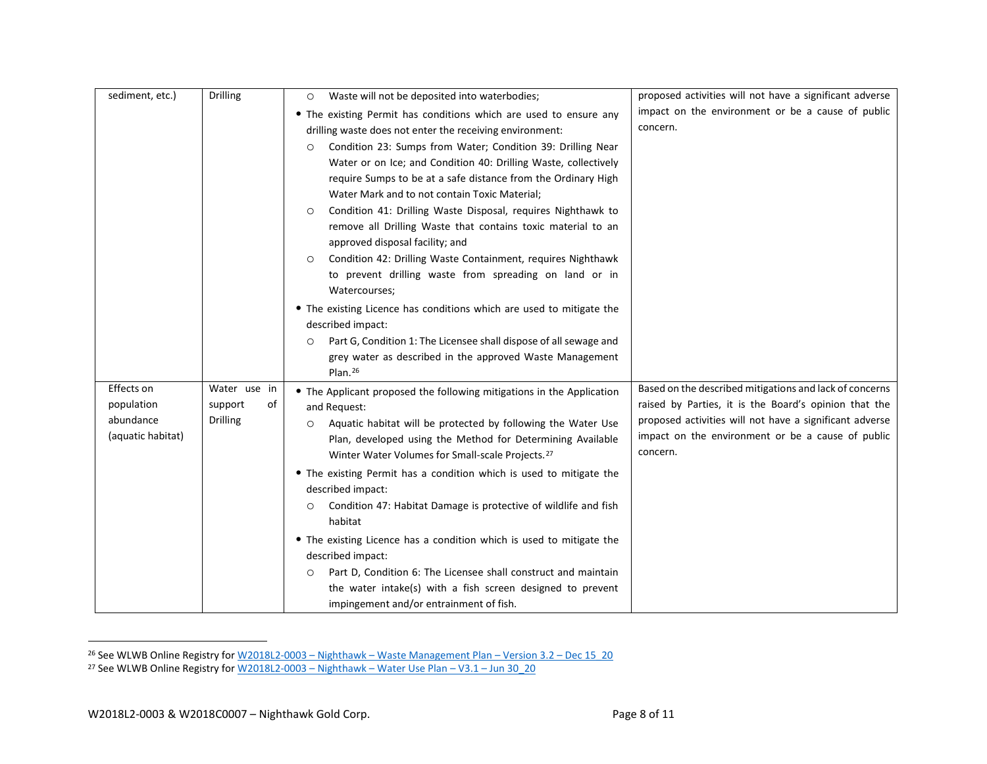<span id="page-7-1"></span><span id="page-7-0"></span>

| sediment, etc.)   | <b>Drilling</b> | Waste will not be deposited into waterbodies;<br>$\circ$                     | proposed activities will not have a significant adverse |
|-------------------|-----------------|------------------------------------------------------------------------------|---------------------------------------------------------|
|                   |                 | • The existing Permit has conditions which are used to ensure any            | impact on the environment or be a cause of public       |
|                   |                 | drilling waste does not enter the receiving environment:                     | concern.                                                |
|                   |                 | Condition 23: Sumps from Water; Condition 39: Drilling Near<br>$\circ$       |                                                         |
|                   |                 | Water or on Ice; and Condition 40: Drilling Waste, collectively              |                                                         |
|                   |                 | require Sumps to be at a safe distance from the Ordinary High                |                                                         |
|                   |                 | Water Mark and to not contain Toxic Material;                                |                                                         |
|                   |                 | Condition 41: Drilling Waste Disposal, requires Nighthawk to<br>$\circ$      |                                                         |
|                   |                 | remove all Drilling Waste that contains toxic material to an                 |                                                         |
|                   |                 | approved disposal facility; and                                              |                                                         |
|                   |                 | Condition 42: Drilling Waste Containment, requires Nighthawk<br>$\circ$      |                                                         |
|                   |                 | to prevent drilling waste from spreading on land or in                       |                                                         |
|                   |                 | Watercourses;                                                                |                                                         |
|                   |                 | • The existing Licence has conditions which are used to mitigate the         |                                                         |
|                   |                 | described impact:                                                            |                                                         |
|                   |                 | Part G, Condition 1: The Licensee shall dispose of all sewage and<br>$\circ$ |                                                         |
|                   |                 | grey water as described in the approved Waste Management                     |                                                         |
|                   |                 | Plan. $26$                                                                   |                                                         |
| Effects on        | Water use in    | • The Applicant proposed the following mitigations in the Application        | Based on the described mitigations and lack of concerns |
| population        | support<br>of   | and Request:                                                                 | raised by Parties, it is the Board's opinion that the   |
| abundance         | <b>Drilling</b> | Aquatic habitat will be protected by following the Water Use<br>$\circ$      | proposed activities will not have a significant adverse |
| (aquatic habitat) |                 | Plan, developed using the Method for Determining Available                   | impact on the environment or be a cause of public       |
|                   |                 | Winter Water Volumes for Small-scale Projects. <sup>27</sup>                 | concern.                                                |
|                   |                 | • The existing Permit has a condition which is used to mitigate the          |                                                         |
|                   |                 | described impact:                                                            |                                                         |
|                   |                 | Condition 47: Habitat Damage is protective of wildlife and fish<br>$\circ$   |                                                         |
|                   |                 | habitat                                                                      |                                                         |
|                   |                 | • The existing Licence has a condition which is used to mitigate the         |                                                         |
|                   |                 | described impact:                                                            |                                                         |
|                   |                 | Part D, Condition 6: The Licensee shall construct and maintain<br>$\circ$    |                                                         |
|                   |                 | the water intake(s) with a fish screen designed to prevent                   |                                                         |
|                   |                 | impingement and/or entrainment of fish.                                      |                                                         |

<sup>26</sup> See WLWB Online Registry for W2018L2-0003 – Nighthawk – [Waste Management Plan –](http://registry.mvlwb.ca/Documents/W2018L2-0003/W2018L2-0003%20-%20Nighthawk%20-%20Waste%20Management%20Plan%20-%20Version%203.2%20-%20Dec%2015_20.pdf) Version 3.2 – Dec 15\_20

<sup>&</sup>lt;sup>27</sup> See WLWB Online Registry for <u>W2018L2-0003 – Nighthawk – Water Use Plan – V3.1 – Jun 30\_20</u>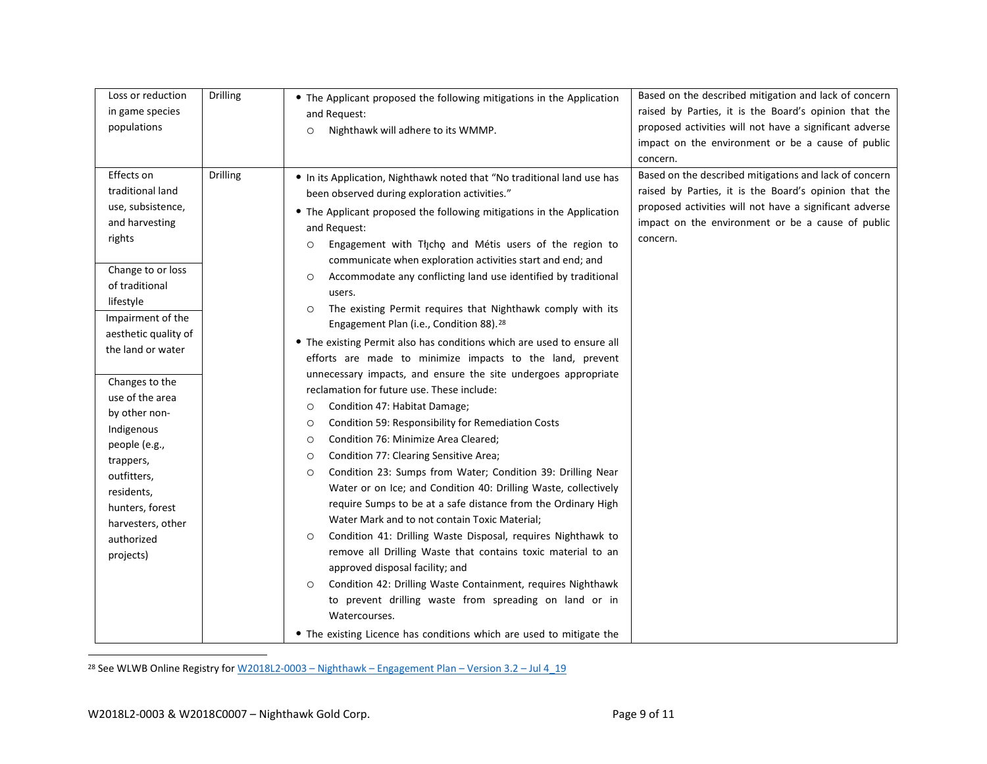<span id="page-8-0"></span>

| Loss or reduction<br>in game species<br>populations                                                                                                                                                                                                                                                                                                                                                     | <b>Drilling</b> | • The Applicant proposed the following mitigations in the Application<br>and Request:<br>Nighthawk will adhere to its WMMP.<br>$\circ$                                                                                                                                                                                                                                                                                                                                                                                                                                                                                                                                                                                                                                                                                                                                                                                                                                                                                                                                                                                                                                                                                                                                                                                                                                                                                                                                                                                                                                                                                                                       | Based on the described mitigation and lack of concern<br>raised by Parties, it is the Board's opinion that the<br>proposed activities will not have a significant adverse<br>impact on the environment or be a cause of public<br>concern.  |
|---------------------------------------------------------------------------------------------------------------------------------------------------------------------------------------------------------------------------------------------------------------------------------------------------------------------------------------------------------------------------------------------------------|-----------------|--------------------------------------------------------------------------------------------------------------------------------------------------------------------------------------------------------------------------------------------------------------------------------------------------------------------------------------------------------------------------------------------------------------------------------------------------------------------------------------------------------------------------------------------------------------------------------------------------------------------------------------------------------------------------------------------------------------------------------------------------------------------------------------------------------------------------------------------------------------------------------------------------------------------------------------------------------------------------------------------------------------------------------------------------------------------------------------------------------------------------------------------------------------------------------------------------------------------------------------------------------------------------------------------------------------------------------------------------------------------------------------------------------------------------------------------------------------------------------------------------------------------------------------------------------------------------------------------------------------------------------------------------------------|---------------------------------------------------------------------------------------------------------------------------------------------------------------------------------------------------------------------------------------------|
| Effects on<br>traditional land<br>use, subsistence,<br>and harvesting<br>rights<br>Change to or loss<br>of traditional<br>lifestyle<br>Impairment of the<br>aesthetic quality of<br>the land or water<br>Changes to the<br>use of the area<br>by other non-<br>Indigenous<br>people (e.g.,<br>trappers,<br>outfitters,<br>residents,<br>hunters, forest<br>harvesters, other<br>authorized<br>projects) | Drilling        | . In its Application, Nighthawk noted that "No traditional land use has<br>been observed during exploration activities."<br>• The Applicant proposed the following mitigations in the Application<br>and Request:<br>Engagement with Tłįcho and Métis users of the region to<br>$\circ$<br>communicate when exploration activities start and end; and<br>Accommodate any conflicting land use identified by traditional<br>$\circ$<br>users.<br>The existing Permit requires that Nighthawk comply with its<br>$\circ$<br>Engagement Plan (i.e., Condition 88). <sup>28</sup><br>• The existing Permit also has conditions which are used to ensure all<br>efforts are made to minimize impacts to the land, prevent<br>unnecessary impacts, and ensure the site undergoes appropriate<br>reclamation for future use. These include:<br>Condition 47: Habitat Damage;<br>$\circ$<br>Condition 59: Responsibility for Remediation Costs<br>$\circ$<br>Condition 76: Minimize Area Cleared;<br>$\circ$<br>Condition 77: Clearing Sensitive Area;<br>$\circ$<br>Condition 23: Sumps from Water; Condition 39: Drilling Near<br>$\circ$<br>Water or on Ice; and Condition 40: Drilling Waste, collectively<br>require Sumps to be at a safe distance from the Ordinary High<br>Water Mark and to not contain Toxic Material;<br>Condition 41: Drilling Waste Disposal, requires Nighthawk to<br>$\circ$<br>remove all Drilling Waste that contains toxic material to an<br>approved disposal facility; and<br>Condition 42: Drilling Waste Containment, requires Nighthawk<br>$\circ$<br>to prevent drilling waste from spreading on land or in<br>Watercourses. | Based on the described mitigations and lack of concern<br>raised by Parties, it is the Board's opinion that the<br>proposed activities will not have a significant adverse<br>impact on the environment or be a cause of public<br>concern. |
|                                                                                                                                                                                                                                                                                                                                                                                                         |                 | • The existing Licence has conditions which are used to mitigate the                                                                                                                                                                                                                                                                                                                                                                                                                                                                                                                                                                                                                                                                                                                                                                                                                                                                                                                                                                                                                                                                                                                                                                                                                                                                                                                                                                                                                                                                                                                                                                                         |                                                                                                                                                                                                                                             |

<sup>28</sup> See WLWB Online Registry for <u>W2018L2-0003 - Nighthawk - Engagement Plan - Version 3.2 - Jul 4\_19</u>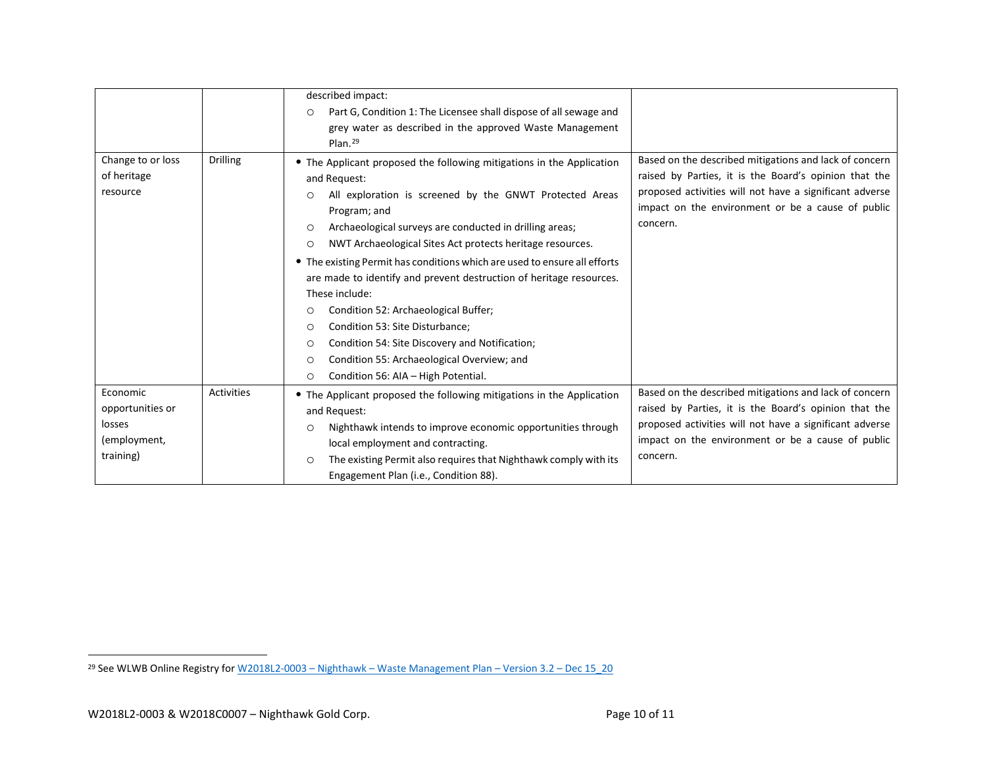<span id="page-9-0"></span>

|                                              |                   | described impact:                                                                                                                                                                                                                                                                                                                                                                                                                                                                                                                                                                                                                                                                                                |                                                                                                                                                                                                                                             |
|----------------------------------------------|-------------------|------------------------------------------------------------------------------------------------------------------------------------------------------------------------------------------------------------------------------------------------------------------------------------------------------------------------------------------------------------------------------------------------------------------------------------------------------------------------------------------------------------------------------------------------------------------------------------------------------------------------------------------------------------------------------------------------------------------|---------------------------------------------------------------------------------------------------------------------------------------------------------------------------------------------------------------------------------------------|
|                                              |                   | Part G, Condition 1: The Licensee shall dispose of all sewage and<br>$\circ$                                                                                                                                                                                                                                                                                                                                                                                                                                                                                                                                                                                                                                     |                                                                                                                                                                                                                                             |
|                                              |                   | grey water as described in the approved Waste Management                                                                                                                                                                                                                                                                                                                                                                                                                                                                                                                                                                                                                                                         |                                                                                                                                                                                                                                             |
|                                              |                   | $Plan.$ <sup>29</sup>                                                                                                                                                                                                                                                                                                                                                                                                                                                                                                                                                                                                                                                                                            |                                                                                                                                                                                                                                             |
| Change to or loss<br>of heritage<br>resource | <b>Drilling</b>   | • The Applicant proposed the following mitigations in the Application<br>and Request:<br>All exploration is screened by the GNWT Protected Areas<br>$\circ$<br>Program; and<br>Archaeological surveys are conducted in drilling areas;<br>$\circ$<br>NWT Archaeological Sites Act protects heritage resources.<br>$\circ$<br>• The existing Permit has conditions which are used to ensure all efforts<br>are made to identify and prevent destruction of heritage resources.<br>These include:<br>Condition 52: Archaeological Buffer;<br>$\circ$<br>Condition 53: Site Disturbance;<br>$\circ$<br>Condition 54: Site Discovery and Notification;<br>$\circ$<br>Condition 55: Archaeological Overview; and<br>O | Based on the described mitigations and lack of concern<br>raised by Parties, it is the Board's opinion that the<br>proposed activities will not have a significant adverse<br>impact on the environment or be a cause of public<br>concern. |
|                                              |                   |                                                                                                                                                                                                                                                                                                                                                                                                                                                                                                                                                                                                                                                                                                                  |                                                                                                                                                                                                                                             |
|                                              |                   | Condition 56: AIA - High Potential.<br>$\circ$                                                                                                                                                                                                                                                                                                                                                                                                                                                                                                                                                                                                                                                                   |                                                                                                                                                                                                                                             |
| Economic                                     | <b>Activities</b> | • The Applicant proposed the following mitigations in the Application                                                                                                                                                                                                                                                                                                                                                                                                                                                                                                                                                                                                                                            | Based on the described mitigations and lack of concern                                                                                                                                                                                      |
| opportunities or                             |                   | and Request:                                                                                                                                                                                                                                                                                                                                                                                                                                                                                                                                                                                                                                                                                                     | raised by Parties, it is the Board's opinion that the                                                                                                                                                                                       |
| losses                                       |                   | Nighthawk intends to improve economic opportunities through<br>$\circ$                                                                                                                                                                                                                                                                                                                                                                                                                                                                                                                                                                                                                                           | proposed activities will not have a significant adverse                                                                                                                                                                                     |
| (employment,                                 |                   | local employment and contracting.                                                                                                                                                                                                                                                                                                                                                                                                                                                                                                                                                                                                                                                                                | impact on the environment or be a cause of public                                                                                                                                                                                           |
| training)                                    |                   | The existing Permit also requires that Nighthawk comply with its<br>$\circ$                                                                                                                                                                                                                                                                                                                                                                                                                                                                                                                                                                                                                                      | concern.                                                                                                                                                                                                                                    |
|                                              |                   | Engagement Plan (i.e., Condition 88).                                                                                                                                                                                                                                                                                                                                                                                                                                                                                                                                                                                                                                                                            |                                                                                                                                                                                                                                             |

<sup>&</sup>lt;sup>29</sup> See WLWB Online Registry for <u>W2018L2-0003 – Nighthawk – [Waste Management Plan –](http://registry.mvlwb.ca/Documents/W2018L2-0003/W2018L2-0003%20-%20Nighthawk%20-%20Waste%20Management%20Plan%20-%20Version%203.2%20-%20Dec%2015_20.pdf) Version 3.2 – Dec 15 20</u>